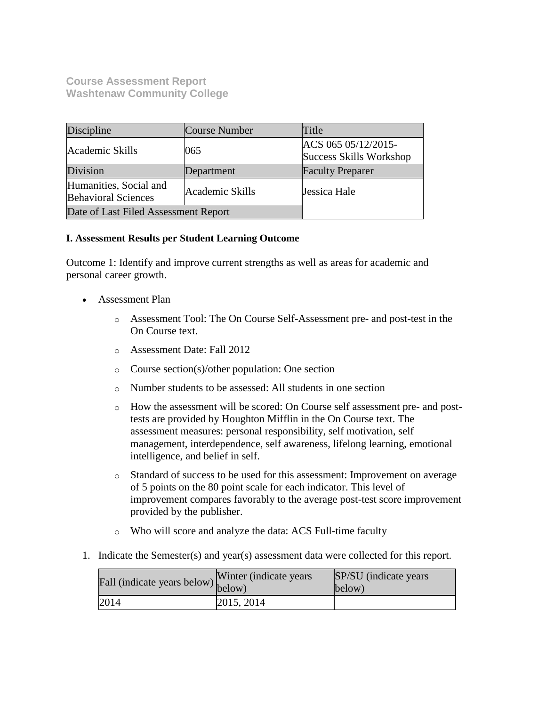**Course Assessment Report Washtenaw Community College**

| Discipline                                           | Course Number   | Title                                          |
|------------------------------------------------------|-----------------|------------------------------------------------|
| Academic Skills                                      | 065             | ACS 065 05/12/2015-<br>Success Skills Workshop |
| Division                                             | Department      | <b>Faculty Preparer</b>                        |
| Humanities, Social and<br><b>Behavioral Sciences</b> | Academic Skills | Jessica Hale                                   |
| Date of Last Filed Assessment Report                 |                 |                                                |

#### **I. Assessment Results per Student Learning Outcome**

Outcome 1: Identify and improve current strengths as well as areas for academic and personal career growth.

- Assessment Plan
	- o Assessment Tool: The On Course Self-Assessment pre- and post-test in the On Course text.
	- o Assessment Date: Fall 2012
	- o Course section(s)/other population: One section
	- o Number students to be assessed: All students in one section
	- o How the assessment will be scored: On Course self assessment pre- and posttests are provided by Houghton Mifflin in the On Course text. The assessment measures: personal responsibility, self motivation, self management, interdependence, self awareness, lifelong learning, emotional intelligence, and belief in self.
	- o Standard of success to be used for this assessment: Improvement on average of 5 points on the 80 point scale for each indicator. This level of improvement compares favorably to the average post-test score improvement provided by the publisher.
	- o Who will score and analyze the data: ACS Full-time faculty
- 1. Indicate the Semester(s) and year(s) assessment data were collected for this report.

| r'all (indicate years below) below) | Winter (indicate years) | SP/SU (indicate years)<br>below) |
|-------------------------------------|-------------------------|----------------------------------|
| 2014                                | 2015, 2014              |                                  |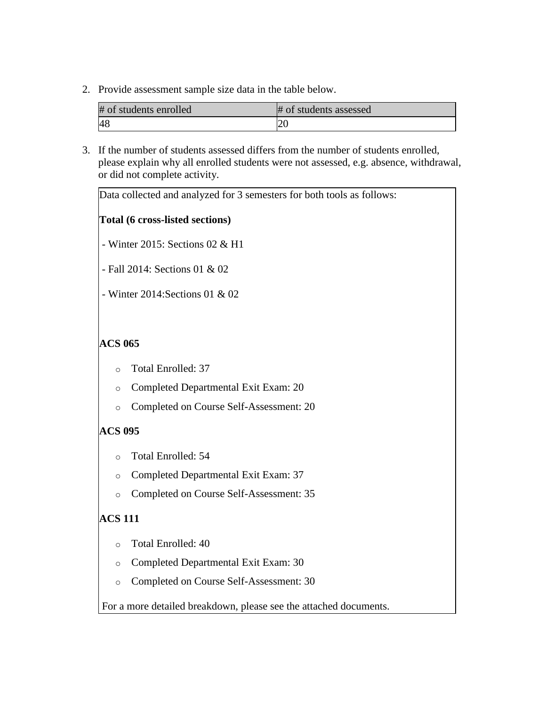2. Provide assessment sample size data in the table below.

| # of students enrolled | # of students assessed |
|------------------------|------------------------|
|                        |                        |

3. If the number of students assessed differs from the number of students enrolled, please explain why all enrolled students were not assessed, e.g. absence, withdrawal, or did not complete activity.

| Data collected and analyzed for 3 semesters for both tools as follows: |
|------------------------------------------------------------------------|
| Total (6 cross-listed sections)                                        |
| - Winter 2015: Sections 02 & H1                                        |
| - Fall 2014: Sections 01 & 02                                          |
| - Winter 2014: Sections 01 & 02                                        |
|                                                                        |
| <b>ACS 065</b>                                                         |
| <b>Total Enrolled: 37</b><br>$\circ$                                   |
| Completed Departmental Exit Exam: 20<br>$\circ$                        |
| Completed on Course Self-Assessment: 20<br>$\circ$                     |
| <b>ACS 095</b>                                                         |
| Total Enrolled: 54<br>$\circ$                                          |
| Completed Departmental Exit Exam: 37<br>$\circ$                        |
| Completed on Course Self-Assessment: 35<br>$\circ$                     |
| <b>ACS 111</b>                                                         |
| Total Enrolled: 40<br>$\circ$                                          |
| Completed Departmental Exit Exam: 30<br>$\circ$                        |
| Completed on Course Self-Assessment: 30<br>$\circ$                     |
| For a more detailed breakdown, please see the attached documents.      |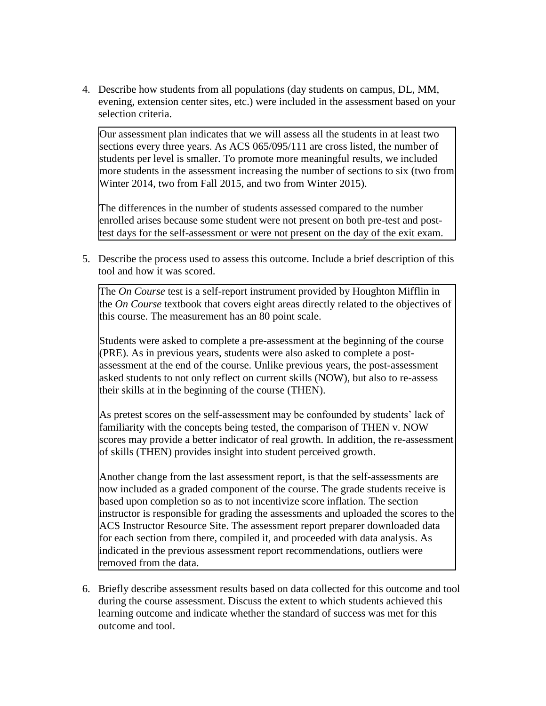4. Describe how students from all populations (day students on campus, DL, MM, evening, extension center sites, etc.) were included in the assessment based on your selection criteria.

Our assessment plan indicates that we will assess all the students in at least two sections every three years. As ACS 065/095/111 are cross listed, the number of students per level is smaller. To promote more meaningful results, we included more students in the assessment increasing the number of sections to six (two from Winter 2014, two from Fall 2015, and two from Winter 2015).

The differences in the number of students assessed compared to the number enrolled arises because some student were not present on both pre-test and posttest days for the self-assessment or were not present on the day of the exit exam.

5. Describe the process used to assess this outcome. Include a brief description of this tool and how it was scored.

The *On Course* test is a self-report instrument provided by Houghton Mifflin in the *On Course* textbook that covers eight areas directly related to the objectives of this course. The measurement has an 80 point scale.

Students were asked to complete a pre-assessment at the beginning of the course (PRE). As in previous years, students were also asked to complete a postassessment at the end of the course. Unlike previous years, the post-assessment asked students to not only reflect on current skills (NOW), but also to re-assess their skills at in the beginning of the course (THEN).

As pretest scores on the self-assessment may be confounded by students' lack of familiarity with the concepts being tested, the comparison of THEN v. NOW scores may provide a better indicator of real growth. In addition, the re-assessment of skills (THEN) provides insight into student perceived growth.

Another change from the last assessment report, is that the self-assessments are now included as a graded component of the course. The grade students receive is based upon completion so as to not incentivize score inflation. The section instructor is responsible for grading the assessments and uploaded the scores to the ACS Instructor Resource Site. The assessment report preparer downloaded data for each section from there, compiled it, and proceeded with data analysis. As indicated in the previous assessment report recommendations, outliers were removed from the data.

6. Briefly describe assessment results based on data collected for this outcome and tool during the course assessment. Discuss the extent to which students achieved this learning outcome and indicate whether the standard of success was met for this outcome and tool.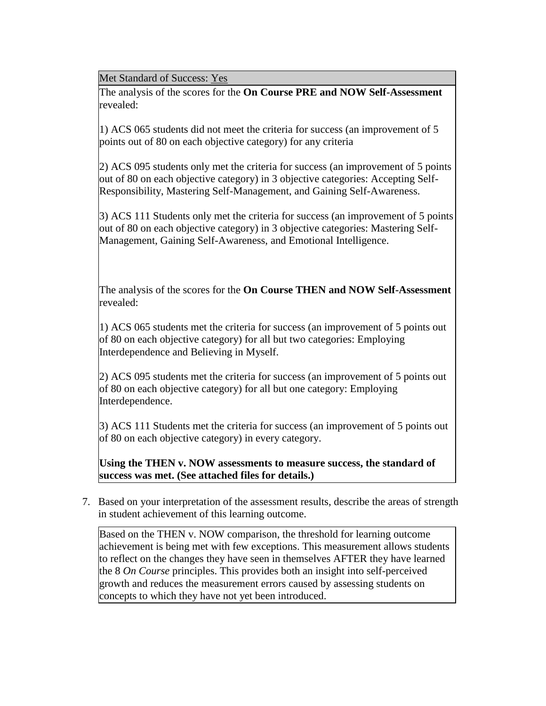Met Standard of Success: Yes

The analysis of the scores for the **On Course PRE and NOW Self-Assessment** revealed:

1) ACS 065 students did not meet the criteria for success (an improvement of 5 points out of 80 on each objective category) for any criteria

2) ACS 095 students only met the criteria for success (an improvement of 5 points out of 80 on each objective category) in 3 objective categories: Accepting Self-Responsibility, Mastering Self-Management, and Gaining Self-Awareness.

3) ACS 111 Students only met the criteria for success (an improvement of 5 points out of 80 on each objective category) in 3 objective categories: Mastering Self-Management, Gaining Self-Awareness, and Emotional Intelligence.

The analysis of the scores for the **On Course THEN and NOW Self-Assessment** revealed:

1) ACS 065 students met the criteria for success (an improvement of 5 points out of 80 on each objective category) for all but two categories: Employing Interdependence and Believing in Myself.

2) ACS 095 students met the criteria for success (an improvement of 5 points out of 80 on each objective category) for all but one category: Employing Interdependence.

3) ACS 111 Students met the criteria for success (an improvement of 5 points out of 80 on each objective category) in every category.

**Using the THEN v. NOW assessments to measure success, the standard of success was met. (See attached files for details.)**

7. Based on your interpretation of the assessment results, describe the areas of strength in student achievement of this learning outcome.

Based on the THEN v. NOW comparison, the threshold for learning outcome achievement is being met with few exceptions. This measurement allows students to reflect on the changes they have seen in themselves AFTER they have learned the 8 *On Course* principles. This provides both an insight into self-perceived growth and reduces the measurement errors caused by assessing students on concepts to which they have not yet been introduced.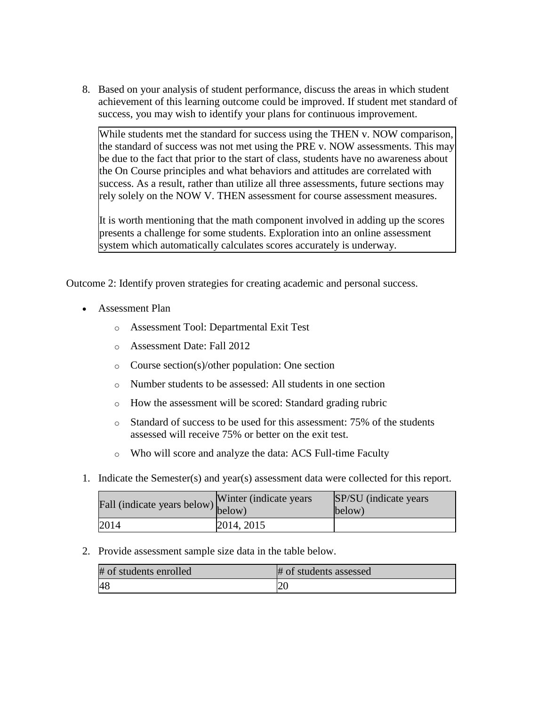8. Based on your analysis of student performance, discuss the areas in which student achievement of this learning outcome could be improved. If student met standard of success, you may wish to identify your plans for continuous improvement.

While students met the standard for success using the THEN v. NOW comparison, the standard of success was not met using the PRE v. NOW assessments. This may be due to the fact that prior to the start of class, students have no awareness about the On Course principles and what behaviors and attitudes are correlated with success. As a result, rather than utilize all three assessments, future sections may rely solely on the NOW V. THEN assessment for course assessment measures.

It is worth mentioning that the math component involved in adding up the scores presents a challenge for some students. Exploration into an online assessment system which automatically calculates scores accurately is underway.

Outcome 2: Identify proven strategies for creating academic and personal success.

- Assessment Plan
	- o Assessment Tool: Departmental Exit Test
	- o Assessment Date: Fall 2012
	- o Course section(s)/other population: One section
	- o Number students to be assessed: All students in one section
	- o How the assessment will be scored: Standard grading rubric
	- o Standard of success to be used for this assessment: 75% of the students assessed will receive 75% or better on the exit test.
	- o Who will score and analyze the data: ACS Full-time Faculty
- 1. Indicate the Semester(s) and year(s) assessment data were collected for this report.

| Fall (indicate years below) below) | Winter (indicate years) | SP/SU (indicate years)<br>below) |
|------------------------------------|-------------------------|----------------------------------|
| 2014                               | 2014, 2015              |                                  |

2. Provide assessment sample size data in the table below.

| # of students enrolled | # of students assessed |
|------------------------|------------------------|
| 48                     |                        |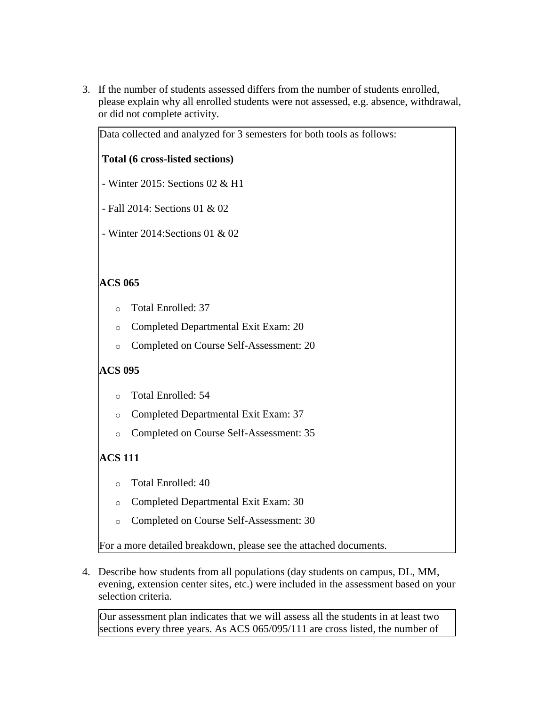3. If the number of students assessed differs from the number of students enrolled, please explain why all enrolled students were not assessed, e.g. absence, withdrawal, or did not complete activity.

Data collected and analyzed for 3 semesters for both tools as follows:

| Data conected and analyzed for 3 semesters for both tools as follows: |  |  |
|-----------------------------------------------------------------------|--|--|
| Total (6 cross-listed sections)                                       |  |  |
| - Winter 2015: Sections 02 & H1                                       |  |  |
| - Fall 2014: Sections 01 & 02                                         |  |  |
| - Winter 2014: Sections 01 & 02                                       |  |  |
|                                                                       |  |  |
| <b>ACS 065</b>                                                        |  |  |
| Total Enrolled: 37<br>$\circ$                                         |  |  |
| Completed Departmental Exit Exam: 20<br>$\circ$                       |  |  |
| Completed on Course Self-Assessment: 20<br>$\circ$                    |  |  |
| <b>ACS 095</b>                                                        |  |  |

- o Total Enrolled: 54
- o Completed Departmental Exit Exam: 37
- o Completed on Course Self-Assessment: 35

# **ACS 111**

- o Total Enrolled: 40
- o Completed Departmental Exit Exam: 30
- o Completed on Course Self-Assessment: 30

For a more detailed breakdown, please see the attached documents.

4. Describe how students from all populations (day students on campus, DL, MM, evening, extension center sites, etc.) were included in the assessment based on your selection criteria.

Our assessment plan indicates that we will assess all the students in at least two sections every three years. As ACS 065/095/111 are cross listed, the number of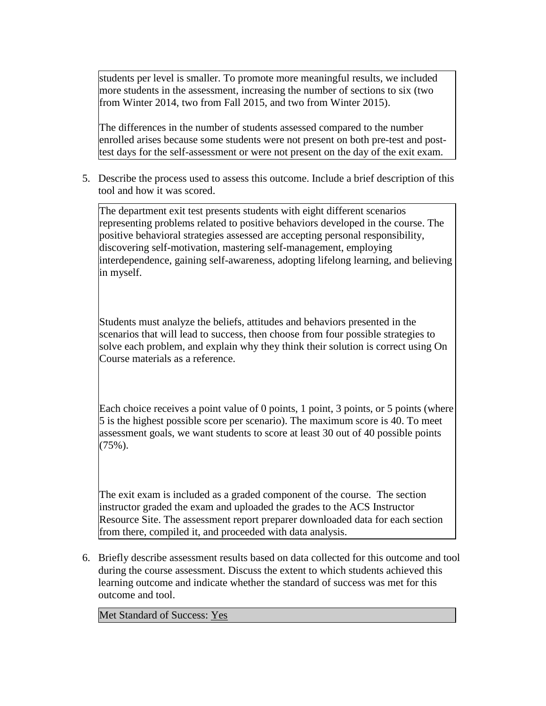students per level is smaller. To promote more meaningful results, we included more students in the assessment, increasing the number of sections to six (two from Winter 2014, two from Fall 2015, and two from Winter 2015).

The differences in the number of students assessed compared to the number enrolled arises because some students were not present on both pre-test and posttest days for the self-assessment or were not present on the day of the exit exam.

5. Describe the process used to assess this outcome. Include a brief description of this tool and how it was scored.

The department exit test presents students with eight different scenarios representing problems related to positive behaviors developed in the course. The positive behavioral strategies assessed are accepting personal responsibility, discovering self-motivation, mastering self-management, employing interdependence, gaining self-awareness, adopting lifelong learning, and believing in myself.

Students must analyze the beliefs, attitudes and behaviors presented in the scenarios that will lead to success, then choose from four possible strategies to solve each problem, and explain why they think their solution is correct using On Course materials as a reference.

Each choice receives a point value of 0 points, 1 point, 3 points, or 5 points (where 5 is the highest possible score per scenario). The maximum score is 40. To meet assessment goals, we want students to score at least 30 out of 40 possible points  $(75\%)$ .

The exit exam is included as a graded component of the course. The section instructor graded the exam and uploaded the grades to the ACS Instructor Resource Site. The assessment report preparer downloaded data for each section from there, compiled it, and proceeded with data analysis.

6. Briefly describe assessment results based on data collected for this outcome and tool during the course assessment. Discuss the extent to which students achieved this learning outcome and indicate whether the standard of success was met for this outcome and tool.

Met Standard of Success: Yes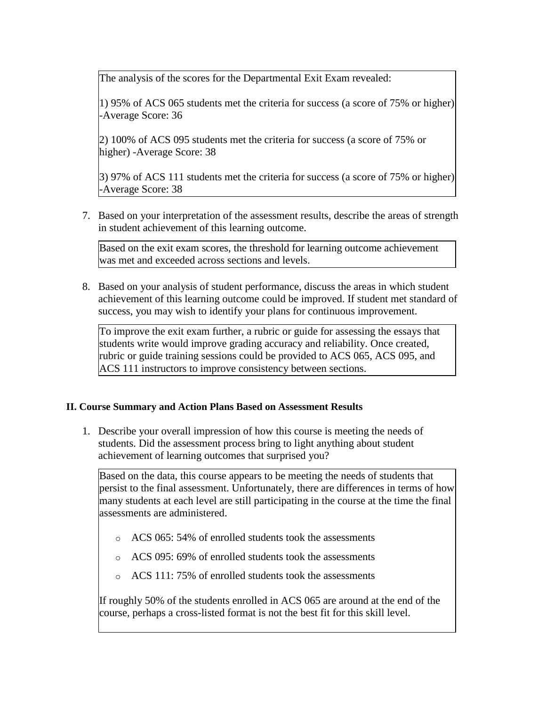The analysis of the scores for the Departmental Exit Exam revealed:

1) 95% of ACS 065 students met the criteria for success (a score of 75% or higher) -Average Score: 36

2) 100% of ACS 095 students met the criteria for success (a score of 75% or higher) -Average Score: 38

3) 97% of ACS 111 students met the criteria for success (a score of 75% or higher) -Average Score: 38

7. Based on your interpretation of the assessment results, describe the areas of strength in student achievement of this learning outcome.

Based on the exit exam scores, the threshold for learning outcome achievement was met and exceeded across sections and levels.

8. Based on your analysis of student performance, discuss the areas in which student achievement of this learning outcome could be improved. If student met standard of success, you may wish to identify your plans for continuous improvement.

To improve the exit exam further, a rubric or guide for assessing the essays that students write would improve grading accuracy and reliability. Once created, rubric or guide training sessions could be provided to ACS 065, ACS 095, and ACS 111 instructors to improve consistency between sections.

### **II. Course Summary and Action Plans Based on Assessment Results**

1. Describe your overall impression of how this course is meeting the needs of students. Did the assessment process bring to light anything about student achievement of learning outcomes that surprised you?

Based on the data, this course appears to be meeting the needs of students that persist to the final assessment. Unfortunately, there are differences in terms of how many students at each level are still participating in the course at the time the final assessments are administered.

- o ACS 065: 54% of enrolled students took the assessments
- o ACS 095: 69% of enrolled students took the assessments
- o ACS 111: 75% of enrolled students took the assessments

If roughly 50% of the students enrolled in ACS 065 are around at the end of the course, perhaps a cross-listed format is not the best fit for this skill level.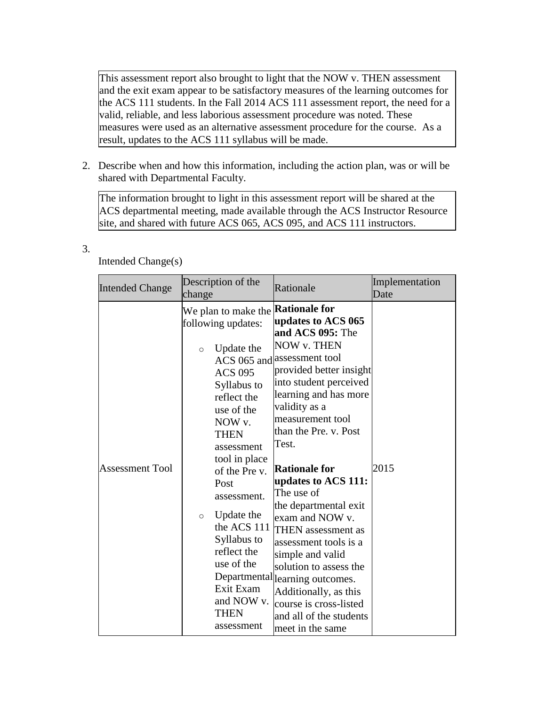This assessment report also brought to light that the NOW v. THEN assessment and the exit exam appear to be satisfactory measures of the learning outcomes for the ACS 111 students. In the Fall 2014 ACS 111 assessment report, the need for a valid, reliable, and less laborious assessment procedure was noted. These measures were used as an alternative assessment procedure for the course. As a result, updates to the ACS 111 syllabus will be made.

2. Describe when and how this information, including the action plan, was or will be shared with Departmental Faculty.

The information brought to light in this assessment report will be shared at the ACS departmental meeting, made available through the ACS Instructor Resource site, and shared with future ACS 065, ACS 095, and ACS 111 instructors.

| <b>Intended Change</b> | Description of the<br>change                                                                                                                                                                                                                                                                                                                                                                      | Rationale                                                                                                                                                                                                                                                                                                                                                                                                                                                                                                                                                                                   | Implementation<br>Date |
|------------------------|---------------------------------------------------------------------------------------------------------------------------------------------------------------------------------------------------------------------------------------------------------------------------------------------------------------------------------------------------------------------------------------------------|---------------------------------------------------------------------------------------------------------------------------------------------------------------------------------------------------------------------------------------------------------------------------------------------------------------------------------------------------------------------------------------------------------------------------------------------------------------------------------------------------------------------------------------------------------------------------------------------|------------------------|
| <b>Assessment Tool</b> | We plan to make the <b>Rationale for</b><br>following updates:<br>Update the<br>$\circ$<br><b>ACS 095</b><br>Syllabus to<br>reflect the<br>use of the<br>NOW v.<br><b>THEN</b><br>assessment<br>tool in place<br>of the Pre v.<br>Post<br>assessment.<br>Update the<br>$\circ$<br>the ACS 111<br>Syllabus to<br>reflect the<br>use of the<br>Exit Exam<br>and NOW v.<br><b>THEN</b><br>assessment | updates to ACS 065<br>and ACS 095: The<br>NOW v. THEN<br>ACS 065 and assessment tool<br>provided better insight<br>into student perceived<br>learning and has more<br>validity as a<br>measurement tool<br>than the Pre. v. Post<br>Test.<br><b>Rationale for</b><br>updates to ACS 111:<br>The use of<br>the departmental exit<br>exam and NOW v.<br><b>THEN</b> assessment as<br>assessment tools is a<br>simple and valid<br>solution to assess the<br>Departmental learning outcomes.<br>Additionally, as this<br>course is cross-listed<br>and all of the students<br>meet in the same | 2015                   |

## Intended Change(s)

3.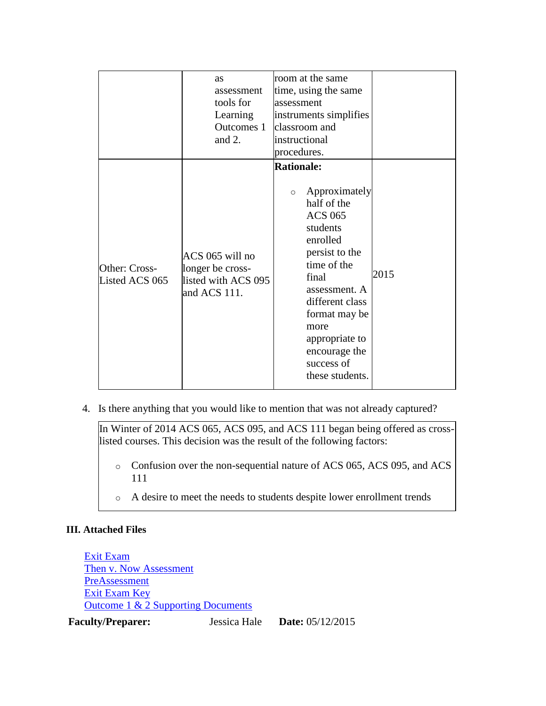|                                 | as<br>assessment<br>tools for<br>Learning<br>Outcomes 1<br>and 2.          | room at the same<br>time, using the same<br>assessment<br>instruments simplifies<br>classroom and<br>instructional<br>procedures.                                                                                                                                                 |      |
|---------------------------------|----------------------------------------------------------------------------|-----------------------------------------------------------------------------------------------------------------------------------------------------------------------------------------------------------------------------------------------------------------------------------|------|
| Other: Cross-<br>Listed ACS 065 | ACS 065 will no<br>longer be cross-<br>listed with ACS 095<br>and ACS 111. | <b>Rationale:</b><br>Approximately<br>$\circ$<br>half of the<br><b>ACS 065</b><br>students<br>enrolled<br>persist to the<br>time of the<br>final<br>assessment. A<br>different class<br>format may be<br>more<br>appropriate to<br>encourage the<br>success of<br>these students. | 2015 |

4. Is there anything that you would like to mention that was not already captured?

In Winter of 2014 ACS 065, ACS 095, and ACS 111 began being offered as crosslisted courses. This decision was the result of the following factors:

- o Confusion over the non-sequential nature of ACS 065, ACS 095, and ACS 111
- o A desire to meet the needs to students despite lower enrollment trends

### **III. Attached Files**

[Exit Exam](documents/Exit%20Exam%20ACS%20065%20095%20111.doc) [Then v. Now Assessment](documents/ACS065095111ThenNowAssessment1.pdf) [PreAssessment](documents/ACS065095111PreAssessment2.pdf) [Exit Exam Key](documents/ACS%20065095111%20Exit%20Exam%20Key2.doc) [Outcome 1 & 2 Supporting Documents](documents/ACS065095111PostAssessmentAnalysisAttached051220155.xlsx)

**Faculty/Preparer:** Jessica Hale **Date:** 05/12/2015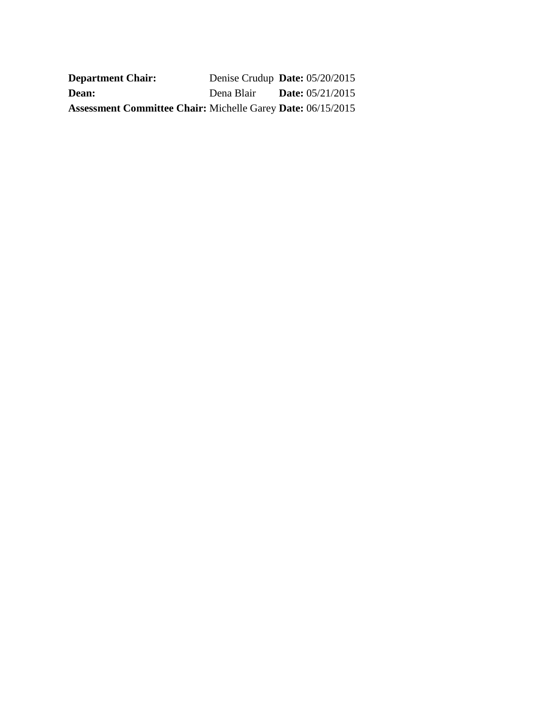| <b>Department Chair:</b>                                           | Denise Crudup Date: 05/20/2015 |                           |
|--------------------------------------------------------------------|--------------------------------|---------------------------|
| <b>Dean:</b>                                                       | Dena Blair                     | <b>Date:</b> $05/21/2015$ |
| <b>Assessment Committee Chair: Michelle Garey Date: 06/15/2015</b> |                                |                           |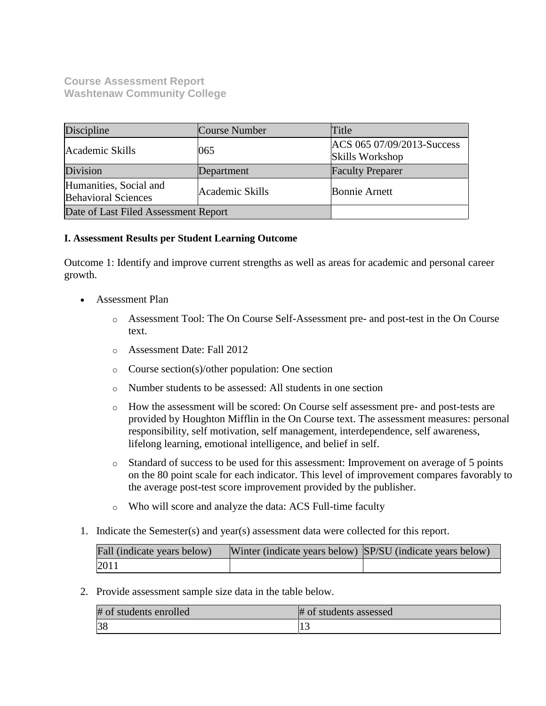#### **Course Assessment Report Washtenaw Community College**

| Discipline                                           | Course Number   | Title                                         |
|------------------------------------------------------|-----------------|-----------------------------------------------|
| Academic Skills                                      | 065             | ACS 065 07/09/2013-Success<br>Skills Workshop |
| Division                                             | Department      | <b>Faculty Preparer</b>                       |
| Humanities, Social and<br><b>Behavioral Sciences</b> | Academic Skills | <b>Bonnie Arnett</b>                          |
| Date of Last Filed Assessment Report                 |                 |                                               |

#### **I. Assessment Results per Student Learning Outcome**

Outcome 1: Identify and improve current strengths as well as areas for academic and personal career growth.

- Assessment Plan
	- o Assessment Tool: The On Course Self-Assessment pre- and post-test in the On Course text.
	- o Assessment Date: Fall 2012
	- o Course section(s)/other population: One section
	- o Number students to be assessed: All students in one section
	- o How the assessment will be scored: On Course self assessment pre- and post-tests are provided by Houghton Mifflin in the On Course text. The assessment measures: personal responsibility, self motivation, self management, interdependence, self awareness, lifelong learning, emotional intelligence, and belief in self.
	- o Standard of success to be used for this assessment: Improvement on average of 5 points on the 80 point scale for each indicator. This level of improvement compares favorably to the average post-test score improvement provided by the publisher.
	- o Who will score and analyze the data: ACS Full-time faculty
- 1. Indicate the Semester(s) and year(s) assessment data were collected for this report.

| Fall (indicate years below) | Winter (indicate years below) SP/SU (indicate years below) |  |
|-----------------------------|------------------------------------------------------------|--|
| 2011                        |                                                            |  |

2. Provide assessment sample size data in the table below.

| # of students enrolled | # of students assessed |
|------------------------|------------------------|
| 38                     |                        |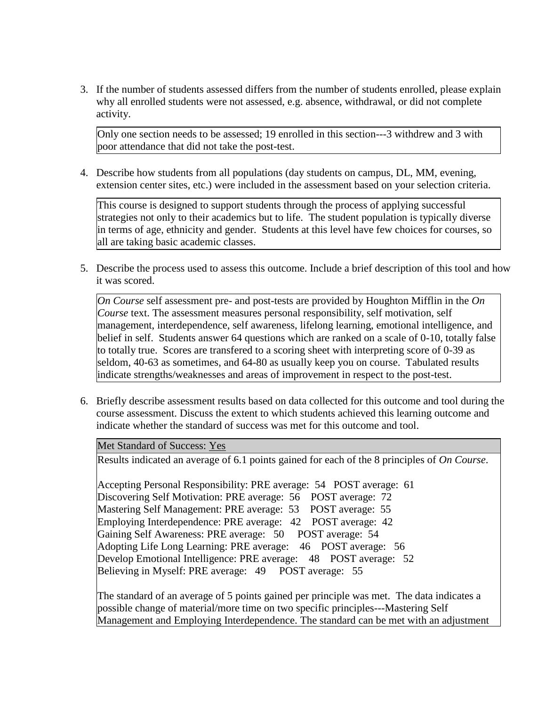3. If the number of students assessed differs from the number of students enrolled, please explain why all enrolled students were not assessed, e.g. absence, withdrawal, or did not complete activity.

Only one section needs to be assessed; 19 enrolled in this section---3 withdrew and 3 with poor attendance that did not take the post-test.

4. Describe how students from all populations (day students on campus, DL, MM, evening, extension center sites, etc.) were included in the assessment based on your selection criteria.

This course is designed to support students through the process of applying successful strategies not only to their academics but to life. The student population is typically diverse in terms of age, ethnicity and gender. Students at this level have few choices for courses, so all are taking basic academic classes.

5. Describe the process used to assess this outcome. Include a brief description of this tool and how it was scored.

*On Course* self assessment pre- and post-tests are provided by Houghton Mifflin in the *On Course* text. The assessment measures personal responsibility, self motivation, self management, interdependence, self awareness, lifelong learning, emotional intelligence, and belief in self. Students answer 64 questions which are ranked on a scale of 0-10, totally false to totally true. Scores are transfered to a scoring sheet with interpreting score of 0-39 as seldom, 40-63 as sometimes, and 64-80 as usually keep you on course. Tabulated results indicate strengths/weaknesses and areas of improvement in respect to the post-test.

6. Briefly describe assessment results based on data collected for this outcome and tool during the course assessment. Discuss the extent to which students achieved this learning outcome and indicate whether the standard of success was met for this outcome and tool.

#### Met Standard of Success: Yes

Results indicated an average of 6.1 points gained for each of the 8 principles of *On Course*.

Accepting Personal Responsibility: PRE average: 54 POST average: 61 Discovering Self Motivation: PRE average: 56 POST average: 72 Mastering Self Management: PRE average: 53 POST average: 55 Employing Interdependence: PRE average: 42 POST average: 42 Gaining Self Awareness: PRE average: 50 POST average: 54 Adopting Life Long Learning: PRE average: 46 POST average: 56 Develop Emotional Intelligence: PRE average: 48 POST average: 52 Believing in Myself: PRE average: 49 POST average: 55

The standard of an average of 5 points gained per principle was met. The data indicates a possible change of material/more time on two specific principles---Mastering Self Management and Employing Interdependence. The standard can be met with an adjustment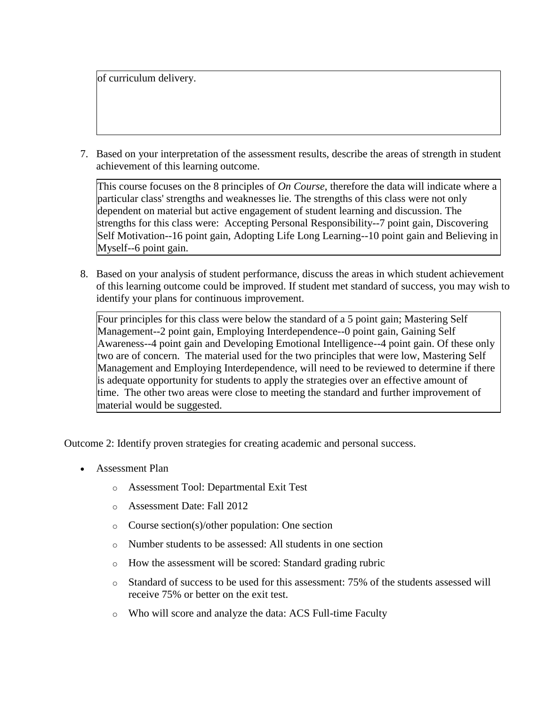of curriculum delivery.

7. Based on your interpretation of the assessment results, describe the areas of strength in student achievement of this learning outcome.

This course focuses on the 8 principles of *On Course*, therefore the data will indicate where a particular class' strengths and weaknesses lie. The strengths of this class were not only dependent on material but active engagement of student learning and discussion. The strengths for this class were: Accepting Personal Responsibility--7 point gain, Discovering Self Motivation--16 point gain, Adopting Life Long Learning--10 point gain and Believing in Myself--6 point gain.

8. Based on your analysis of student performance, discuss the areas in which student achievement of this learning outcome could be improved. If student met standard of success, you may wish to identify your plans for continuous improvement.

Four principles for this class were below the standard of a 5 point gain; Mastering Self Management--2 point gain, Employing Interdependence--0 point gain, Gaining Self Awareness--4 point gain and Developing Emotional Intelligence--4 point gain. Of these only two are of concern. The material used for the two principles that were low, Mastering Self Management and Employing Interdependence, will need to be reviewed to determine if there is adequate opportunity for students to apply the strategies over an effective amount of time. The other two areas were close to meeting the standard and further improvement of material would be suggested.

Outcome 2: Identify proven strategies for creating academic and personal success.

- Assessment Plan
	- o Assessment Tool: Departmental Exit Test
	- o Assessment Date: Fall 2012
	- o Course section(s)/other population: One section
	- o Number students to be assessed: All students in one section
	- o How the assessment will be scored: Standard grading rubric
	- o Standard of success to be used for this assessment: 75% of the students assessed will receive 75% or better on the exit test.
	- o Who will score and analyze the data: ACS Full-time Faculty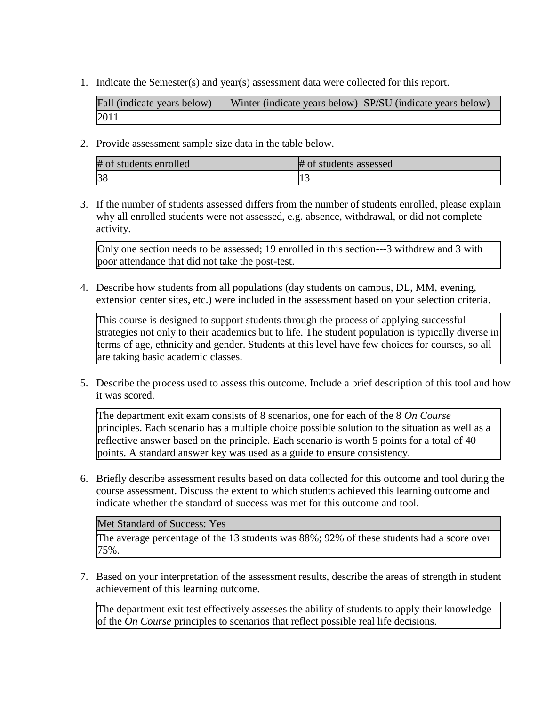1. Indicate the Semester(s) and year(s) assessment data were collected for this report.

| Fall (indicate years below) | Winter (indicate years below) SP/SU (indicate years below) |  |
|-----------------------------|------------------------------------------------------------|--|
| 2011                        |                                                            |  |

2. Provide assessment sample size data in the table below.

| # of students enrolled | # of students assessed |
|------------------------|------------------------|
|                        |                        |

3. If the number of students assessed differs from the number of students enrolled, please explain why all enrolled students were not assessed, e.g. absence, withdrawal, or did not complete activity.

Only one section needs to be assessed; 19 enrolled in this section---3 withdrew and 3 with poor attendance that did not take the post-test.

4. Describe how students from all populations (day students on campus, DL, MM, evening, extension center sites, etc.) were included in the assessment based on your selection criteria.

This course is designed to support students through the process of applying successful strategies not only to their academics but to life. The student population is typically diverse in terms of age, ethnicity and gender. Students at this level have few choices for courses, so all are taking basic academic classes.

5. Describe the process used to assess this outcome. Include a brief description of this tool and how it was scored.

The department exit exam consists of 8 scenarios, one for each of the 8 *On Course* principles. Each scenario has a multiple choice possible solution to the situation as well as a reflective answer based on the principle. Each scenario is worth 5 points for a total of 40 points. A standard answer key was used as a guide to ensure consistency.

6. Briefly describe assessment results based on data collected for this outcome and tool during the course assessment. Discuss the extent to which students achieved this learning outcome and indicate whether the standard of success was met for this outcome and tool.

Met Standard of Success: Yes

The average percentage of the 13 students was 88%; 92% of these students had a score over 75%.

7. Based on your interpretation of the assessment results, describe the areas of strength in student achievement of this learning outcome.

The department exit test effectively assesses the ability of students to apply their knowledge of the *On Course* principles to scenarios that reflect possible real life decisions.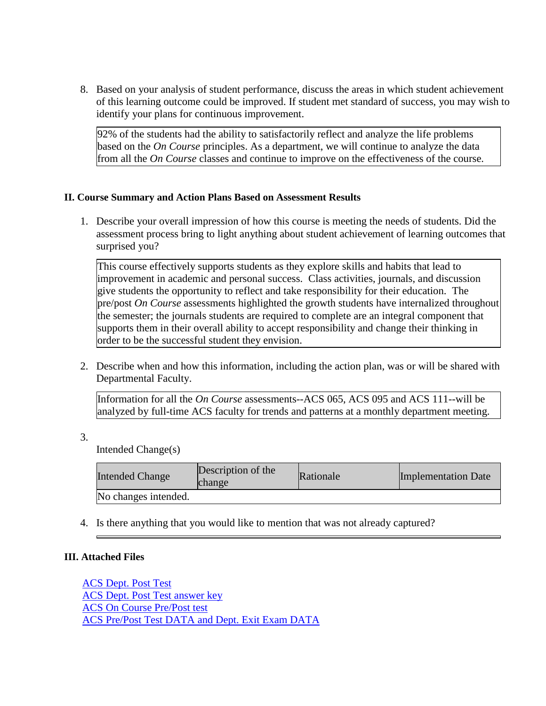8. Based on your analysis of student performance, discuss the areas in which student achievement of this learning outcome could be improved. If student met standard of success, you may wish to identify your plans for continuous improvement.

92% of the students had the ability to satisfactorily reflect and analyze the life problems based on the *On Course* principles. As a department, we will continue to analyze the data from all the *On Course* classes and continue to improve on the effectiveness of the course.

#### **II. Course Summary and Action Plans Based on Assessment Results**

1. Describe your overall impression of how this course is meeting the needs of students. Did the assessment process bring to light anything about student achievement of learning outcomes that surprised you?

This course effectively supports students as they explore skills and habits that lead to improvement in academic and personal success. Class activities, journals, and discussion give students the opportunity to reflect and take responsibility for their education. The pre/post *On Course* assessments highlighted the growth students have internalized throughout the semester; the journals students are required to complete are an integral component that supports them in their overall ability to accept responsibility and change their thinking in order to be the successful student they envision.

2. Describe when and how this information, including the action plan, was or will be shared with Departmental Faculty.

Information for all the *On Course* assessments--ACS 065, ACS 095 and ACS 111--will be analyzed by full-time ACS faculty for trends and patterns at a monthly department meeting.

3.

Intended Change(s)

| <b>Intended Change</b> | Description of the<br>change | Rationale | Implementation Date |
|------------------------|------------------------------|-----------|---------------------|
| No changes intended.   |                              |           |                     |

4. Is there anything that you would like to mention that was not already captured?

### **III. Attached Files**

[ACS Dept. Post Test](documents/Faculty-made%20assessment%20Student%20Form%20ACS%20065%20and%20%20095%20(3)1.doc) [ACS Dept. Post Test answer key](documents/Faculty-made%20assessment_Answer_Key_Student_Form%20ACS%20065_095%20(3)1.doc) [ACS On Course Pre/Post test](documents/On%20Course%20Self-Assessment.pdf) [ACS Pre/Post Test DATA and Dept. Exit Exam DATA](documents/ACS%20065%20Assessment%20Scores%20Fall%202011%202013%20SPRING%20REPORT2.docx)